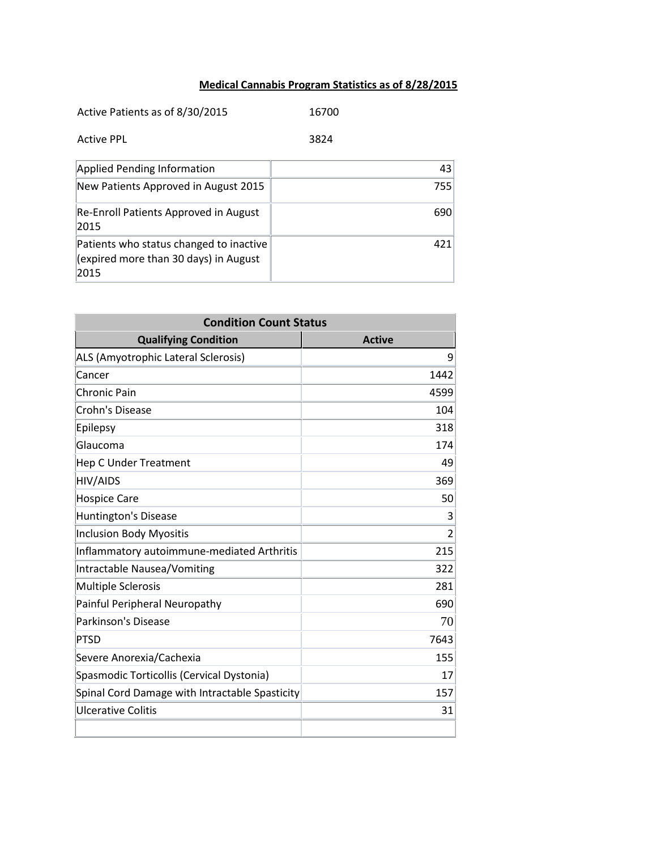## **Medical Cannabis Program Statistics as of 8/28/2015**

| Active Patients as of 8/30/2015                                                          | 16700 |
|------------------------------------------------------------------------------------------|-------|
| <b>Active PPL</b>                                                                        | 3824  |
| Applied Pending Information                                                              | 43    |
| New Patients Approved in August 2015                                                     | 755   |
| Re-Enroll Patients Approved in August<br>2015                                            | 690   |
| Patients who status changed to inactive<br>(expired more than 30 days) in August<br>2015 | 421   |

| <b>Condition Count Status</b>                  |                |  |
|------------------------------------------------|----------------|--|
| <b>Qualifying Condition</b>                    | <b>Active</b>  |  |
| ALS (Amyotrophic Lateral Sclerosis)            | 9              |  |
| Cancer                                         | 1442           |  |
| Chronic Pain                                   | 4599           |  |
| Crohn's Disease                                | 104            |  |
| Epilepsy                                       | 318            |  |
| Glaucoma                                       | 174            |  |
| <b>Hep C Under Treatment</b>                   | 49             |  |
| <b>HIV/AIDS</b>                                | 369            |  |
| <b>Hospice Care</b>                            | 50             |  |
| <b>Huntington's Disease</b>                    | 3              |  |
| <b>Inclusion Body Myositis</b>                 | $\overline{2}$ |  |
| Inflammatory autoimmune-mediated Arthritis     | 215            |  |
| Intractable Nausea/Vomiting                    | 322            |  |
| <b>Multiple Sclerosis</b>                      | 281            |  |
| Painful Peripheral Neuropathy                  | 690            |  |
| Parkinson's Disease                            | 70             |  |
| <b>PTSD</b>                                    | 7643           |  |
| Severe Anorexia/Cachexia                       | 155            |  |
| Spasmodic Torticollis (Cervical Dystonia)      | 17             |  |
| Spinal Cord Damage with Intractable Spasticity | 157            |  |
| <b>Ulcerative Colitis</b>                      | 31             |  |
|                                                |                |  |